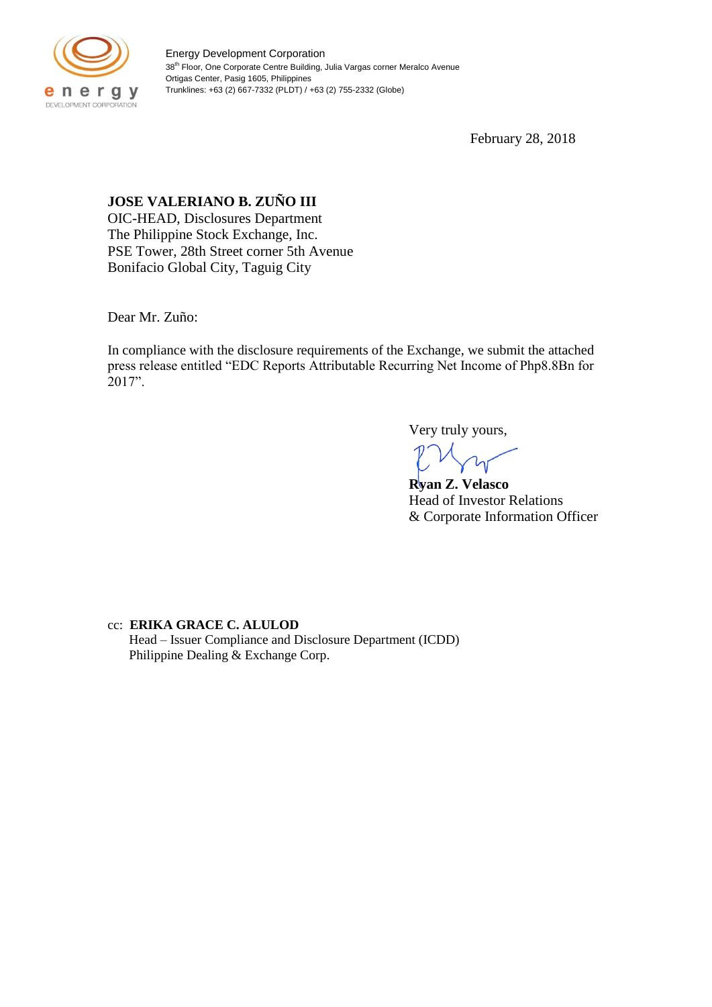

Energy Development Corporation 38<sup>th</sup> Floor, One Corporate Centre Building, Julia Vargas corner Meralco Avenue Ortigas Center, Pasig 1605, Philippines Trunklines: +63 (2) 667-7332 (PLDT) / +63 (2) 755-2332 (Globe)

February 28, 2018

## **JOSE VALERIANO B. ZUÑO III**

OIC-HEAD, Disclosures Department The Philippine Stock Exchange, Inc. PSE Tower, 28th Street corner 5th Avenue Bonifacio Global City, Taguig City

Dear Mr. Zuño:

In compliance with the disclosure requirements of the Exchange, we submit the attached press release entitled "EDC Reports Attributable Recurring Net Income of Php8.8Bn for 2017".

Very truly yours,

**Ryan Z. Velasco** Head of Investor Relations & Corporate Information Officer

cc: **ERIKA GRACE C. ALULOD** Head – Issuer Compliance and Disclosure Department (ICDD) Philippine Dealing & Exchange Corp.